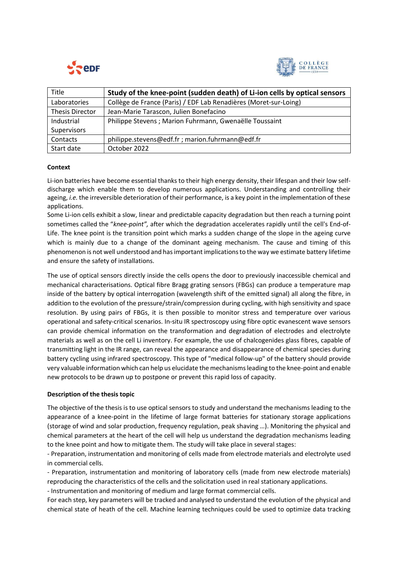



| <b>Title</b>           | Study of the knee-point (sudden death) of Li-ion cells by optical sensors |
|------------------------|---------------------------------------------------------------------------|
| Laboratories           | Collège de France (Paris) / EDF Lab Renadières (Moret-sur-Loing)          |
| <b>Thesis Director</b> | Jean-Marie Tarascon, Julien Bonefacino                                    |
| Industrial             | Philippe Stevens; Marion Fuhrmann, Gwenaëlle Toussaint                    |
| Supervisors            |                                                                           |
| Contacts               | philippe.stevens@edf.fr; marion.fuhrmann@edf.fr                           |
| Start date             | October 2022                                                              |

## **Context**

Li-ion batteries have become essential thanks to their high energy density, their lifespan and their low selfdischarge which enable them to develop numerous applications. Understanding and controlling their ageing, *i.e.* the irreversible deterioration of their performance, is a key point in the implementation of these applications.

Some Li*-*ion cells exhibit a slow, linear and predictable capacity degradation but then reach a turning point sometimes called the "*knee-point",* after which the degradation accelerates rapidly until the cell's End-of-Life. The knee point is the transition point which marks a sudden change of the slope in the ageing curve which is mainly due to a change of the dominant ageing mechanism. The cause and timing of this phenomenon is not well understood and has important implications to the way we estimate battery lifetime and ensure the safety of installations.

The use of optical sensors directly inside the cells opens the door to previously inaccessible chemical and mechanical characterisations. Optical fibre Bragg grating sensors (FBGs) can produce a temperature map inside of the battery by optical interrogation (wavelength shift of the emitted signal) all along the fibre, in addition to the evolution of the pressure/strain/compression during cycling, with high sensitivity and space resolution. By using pairs of FBGs, it is then possible to monitor stress and temperature over various operational and safety-critical scenarios. In-situ IR spectroscopy using fibre optic evanescent wave sensors can provide chemical information on the transformation and degradation of electrodes and electrolyte materials as well as on the cell Li inventory. For example, the use of chalcogenides glass fibres, capable of transmitting light in the IR range, can reveal the appearance and disappearance of chemical species during battery cycling using infrared spectroscopy. This type of "medical follow-up" of the battery should provide very valuable information which can help us elucidate the mechanisms leading to the knee-point and enable new protocols to be drawn up to postpone or prevent this rapid loss of capacity.

## **Description of the thesis topic**

The objective of the thesis is to use optical sensors to study and understand the mechanisms leading to the appearance of a knee-point in the lifetime of large format batteries for stationary storage applications (storage of wind and solar production, frequency regulation, peak shaving …). Monitoring the physical and chemical parameters at the heart of the cell will help us understand the degradation mechanisms leading to the knee point and how to mitigate them. The study will take place in several stages:

- Preparation, instrumentation and monitoring of cells made from electrode materials and electrolyte used in commercial cells.

- Preparation, instrumentation and monitoring of laboratory cells (made from new electrode materials) reproducing the characteristics of the cells and the solicitation used in real stationary applications.

- Instrumentation and monitoring of medium and large format commercial cells.

For each step, key parameters will be tracked and analysed to understand the evolution of the physical and chemical state of heath of the cell. Machine learning techniques could be used to optimize data tracking